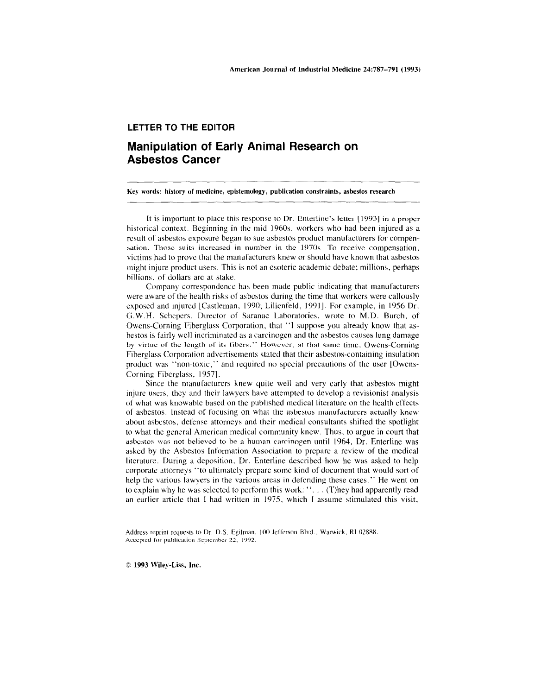## **LETTER TO THE EDITOR**

# **Manipulation of Early Animal Research on Asbestos Cancer**

Key words: history of medicine. epistemology, publication constraints, asbestos research

It is important to place this response to Dr. Enterline's letter [1993] in a proper historical context. Beginning in the mid 1960s, workers who had been injured as a result of asbestos exposure began to sue asbestos product manufacturers for compen sation. Those suits increased in number in the 1970s. To receive compensation. victims had to prove that the manufacturers knew or should have known that asbestos might injure product users. This is not an esoteric academic debate; millions. perhaps hillions. of dollars are at stake.

Company correspondence has been made public indicating that manufacturers were aware of the health risks of asbestos during the time that workers were callously exposed and injured [Castleman, 1990; Lilienfeld, 1991]. For example, in 1956 Dr. G.W.H. Schepers, Director of Saranac Laboratories, wrote to M.D. Burch, of Owens-Corning Fiberglass Corporation. that "I suppose you already know that asbestos is fairly well incriminated as a carcinogen and the asbestos causes lung damage by virtue of the length of its fibers." However, at that same time. Owens-Corning Fiberglass Corporation advertisements stated that their asbestos-containing insulation product was "non-toxic," and required no special precautions of the user [Owens-Corning Fiberglass, 19571.

Since the manufacturers knew quite well and very early that asbestos might injure users, they and their lawyers have attempted to develop a revisionist analysis of what was knowable based on the published medical literature on the health effects of asbestos. Instead of focusing on what the asbestos manufacturers actually knew about asbestos, defense attorneys and their medical consultants shifted the spotlight to what the general American medical community knew. Thus, to argue in court that asbestos was not believed to be a human carcinogen until 1964. Dr. Enterline was asked by the Asbestos Information Association to prepare a review of the medical literature. During a deposition, Dr. Enterline described how he was asked to help corporate attorneys "to ultimately prepare some kind of document that would sort of help the various lawyers in the various areas in defending these cases." He went on to explain why he was selected to perform this work: "... (T)hey had apparently read an earlier article that I had written in 1975, which I assume stimulated this visit,

Address reprint requests to Dr. D.S. Egilman, 100 Jefferson Blvd., Warwick, RI 02888. Accepted for publication September 22, 1992

1993 Wiley-Liss, Inc.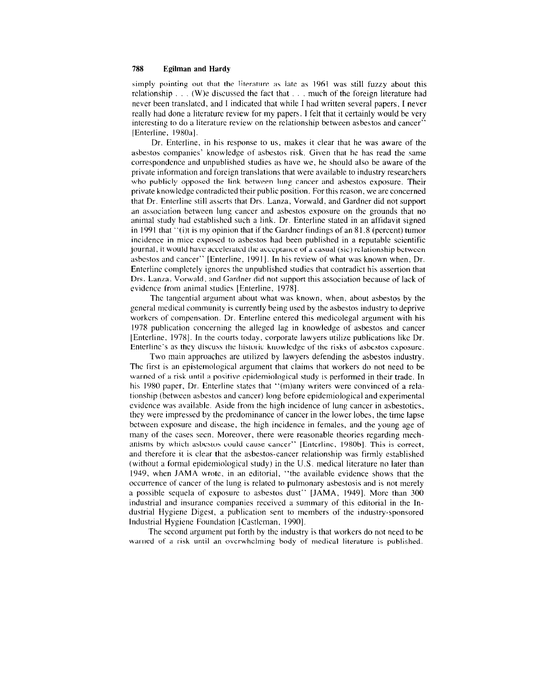#### 788 Egilman and Hardy

simply pointing out that the literature as late as 1961 was still fuzzy about this relationship ... (W)e discussed the fact that ... much of the foreign literature had never been translated, and I indicated that while I had written several papers, I never really had done a literature review for my papers. I felt that it certainly would be very interesting to do a literature review on the relationship between asbestos and cancer' [Enterline, 1980a].

Dr. Enterline, in his response to us, makes it clear that he was aware of the asbestos companies' know ledge of asbestos risk. Given that he has read the same correspondence and unpublished studies as have we, he should also be aware of the private information and foreign translations that were available to industry researchers who publicly opposed the link between lung cancer and asbestos exposure. Their private knowledge contradicted their public position. For this reason, we arc concerned that Dr. Enterline still asserts that Drs. Lanza, Vorwald, and Gardner did not support an association between lung cancer and asbestos exposure on the grounds that no animal study had established such a link. Dr. Enterline stated in an affidavit signed in 1991 that  $\cdot$  (i)t is my opinion that if the Gardner findings of an 81.8 (percent) tumor incidence in mice exposed to asbestos had been published in a reputable scientific journal, it would have accelerated the acceptance of a casual (sic) relationship between asbestos and cancer" [Enterline. 1991 J. In his review of what was known when, Dr. Enterline completely ignores the unpublished studies that contradict his assertion that Drs. Lanza, Vorwald, and Gardner did not support this association because of lack of evidence from animal studies [Enterline, 1978].

The tangential argument about what was known, when, about asbestos by the general medical community is currently being used by the asbestos industry to deprive workers of compensation. Dr. Enterline entered this medicolegal argument with his 1978 publication concerning the alleged lag in knowledge of asbestos and cancer [Enterline. 1978J. In the courts today, corporate lawyers utilize publications like Dr. Enterline's as they discuss the historic knowledge of the risks of asbestos exposure.

Two main approaches are utilized by lawyers defending the asbestos industry. The first is an epistemological argument that claims that workers do not need to be warned of a risk until a positive epidemiological study is performed in their trade. In his 1980 paper, Dr. Enterline states that "(m)any writers were convinced of a relationship (between asbestos and cancer) long before epidemiological and experimental evidence was available. Aside from the high incidence of lung cancer in asbestoties. they were impressed by the predominance of cancer in the lower lobes. the time lapse between exposure and disease. the high incidence in females, and the young age of many of the cases secn. Moreover, there were reasonable theories regarding mechanisms by which asbestos could cause cancer" [Enterline, 1980b]. This is correct, and therefore it is clear that the asbestos-cancer relationship was firmly established (without a formal epidemiological study) in the U.S. medical literature no later than 1949, when JAMA wrote, in an editorial, "the available evidence shows that the occurrence of cancer of the lung is related to pulmonary asbestosis and is not merely a possible sequela of exposure to asbestos dust" [lAMA, 1949]. More than 300 industrial and insurance companies received a summary of this editorial in the Industrial Hygiene Digest, a publication sent to members of the industry-sponsored Industrial Hygiene Foundation [Castleman. 1990].

The second argument put forth by the industry is that workers do not need to be warned of a risk until an overwhelming body of medical literature is published.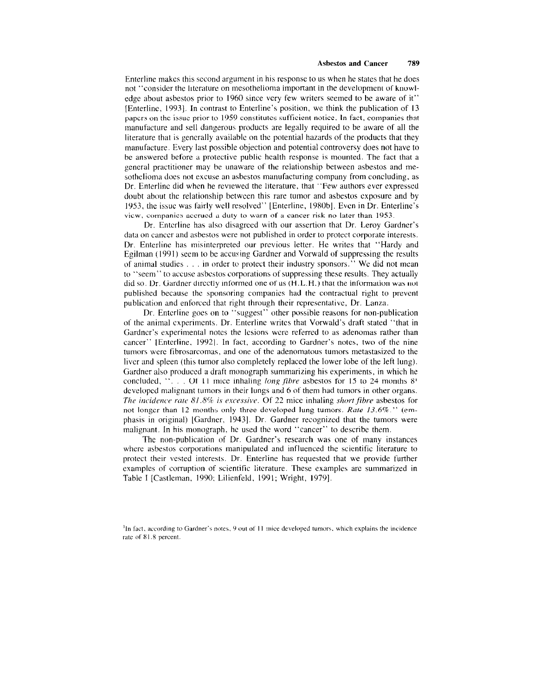Enterline makes this second argument in his response to us when he states that he does not "consider the literature on mesothelioma important in the development or knowledge about asbestos prior to 1960 since very few writers seemed to be aware of it" [Enterline, 1993], In contrast to Enterline's position, we think the publication of 13 papcrs on the issue prior to 1959 constitutes sufficient notice. In fact, companies that manufacture and sell dangerous products are legally required to be aware of all the literature that is generally available on the potential hazards of the products that they manufacture, Every last possible objection and potential controversy does not have to bc answered before a protective public health response is mounted, The fact that a general practitioner may be unaware of the relationship between asbestos and mesothelioma does not excuse an asbestos manufacturing company from concluding, as Dr. Enterline did when he reviewed the literature, that "Few authors ever expressed doubt about the relationship between this rare tumor and asbestos exposure and by 1953, the issue was fairly well resolved" [Enterline, 1980b]. Even in Dr. Enterline's view, companies accrued a duty to warn of a cancer risk no later than 1953.

Dr. Enterline has also disagreed with our assertion that Dr. Leroy Gardner's data on cancer and asbestos were not published in order to protect corporate interests. Dr. Enterline has misinterpreted our previous letter. He writes that "Hardy and Egilman (1991) seem to be accusing Gardner and Vorwald of suppressing the results of animal studies, ... in order to protect their industry sponsors." We did not mean to "seem" to accuse asbestos corporations of suppressing these results, They actually did so. Dr. Gardner directly informed one of us  $(H.L.H.)$  that the information was not published because the sponsoring companies had the contractual right to prevent publication and enforced that right through their representative, Dr. Lanza.

Dr. Enterline goes on to "suggest" other possible reasons for non-publication of the animal experiments, Dr. Enterline writes that Vorwald's draft stated "that in Gardner's experimental notes the lesions were referred to as adenomas rather than cancer" [Enterline, 1992]. In fact, according to Gardner's notes, two of the nine tumors were fibrosarcomas, and one of the adenomatous tumors metastasized to the liver and spleen (this tumor also completely replaced the lower lobe of the left lung), Gardner also produced a draft monograph summarizing his experiments, in which he concluded, "... Of 11 mice inhaling *long fibre* asbestos for 15 to 24 months 8' developed malignant tumors in their lungs and 6 of them had tumors in other organs, *The incidence rate 81.8% is excessive.* Of 22 mice inhaling *short fibre* asbestos for not longer than 12 months only three developed lung tumors, *Rate 13.6%*." *(em*phasis in original) [Gardner, 1943]. Dr. Gardner recognized that the tumors were malignant. In his monograph, he used the word "cancer" to describe them,

The non-publication of Dr. Gardner's research was one of many instances where asbestos corporations manipulated and influenced the scientific literature to protect their vested interests, Dr. Enterline has requested that we provide further examples of corruption of scientific literature, These examples are summarized in Table I [Castleman, 1990; Lilienfeld, 1991; Wright, 1979].

<sup>&</sup>lt;sup>1</sup>In fact, according to Gardner's notes, 9 out of 11 mice developed tumors, which explains the incidence rate of 81.8 percent.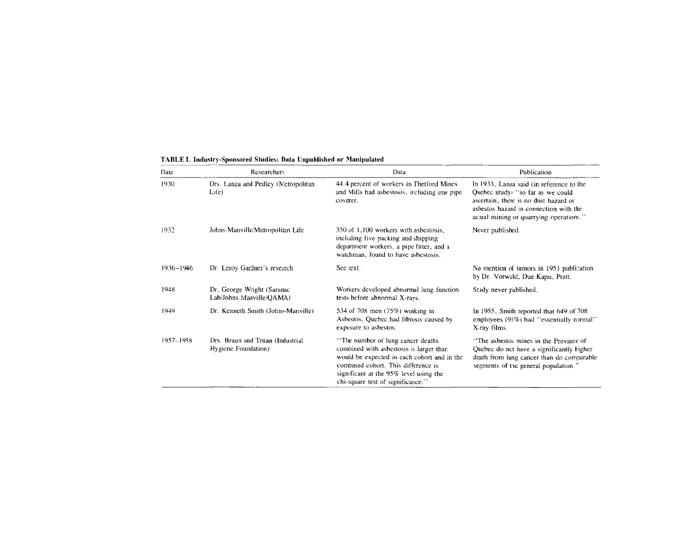| Date      | <b>Researchers</b>                                      | Data                                                                                                                                                                                                                                               | Publication                                                                                                                                                                                                 |
|-----------|---------------------------------------------------------|----------------------------------------------------------------------------------------------------------------------------------------------------------------------------------------------------------------------------------------------------|-------------------------------------------------------------------------------------------------------------------------------------------------------------------------------------------------------------|
| 1930      | Drs. Lanza and Pedley (Metropolitan<br>Life)            | 44.4 percent of workers in Thetford Mines<br>and Mills had asbestosis, including one pipe<br>coverer.                                                                                                                                              | In 1933, Lanza said (in reference to the<br>Quebec study is o far as we could<br>ascertain, there is no dust hazard or<br>asbestos hazard in connection with the<br>actual mining or quarrying operations." |
| 1932      | Johns-Manville/Metropolitan Life                        | 350 of 1,100 workers with asbestosis.<br>including five packing and shipping<br>department workers, a pipe fitter, and a<br>watchman, found to have asbestosis.                                                                                    | Never published.                                                                                                                                                                                            |
| 1936-1946 | Dr. Leroy Gardner's research                            | See text.                                                                                                                                                                                                                                          | No mention of tumors in 1951 publication<br>by Dr. Vorwald, Due Kapu, Pratt.                                                                                                                                |
| 1948      | Dr. George Wright (Saranac<br>Lab/Johns-Manville/OAMA)  | Workers developed abnormal lung function<br>tests before abnormal X-rays.                                                                                                                                                                          | Stady never published.                                                                                                                                                                                      |
| 1949      | Dr. Kenneth Smith (Johns-Manville)                      | 534 of 708 men (75%) working in<br>Asbestos, Quebec had fibrosis caused by<br>exposure to asbestos.                                                                                                                                                | In 1955, Smith reported that 649 of 708<br>employees (91%) had "essentially normal"<br>X-ray films.                                                                                                         |
| 1957-1958 | Drs. Braun and Truan (Industrial<br>Hygiene Foundation) | "The number of lung cancer deaths"<br>combined with asbestosis is larger than<br>would be expected in each cohort and in the<br>combined cohort. This difference is<br>significant at the 95% level using the<br>chi-square test of significance." | "The asbestos mines in the Province of<br>Quebec do nct have a significantly higher<br>death from lung cancer than do comparable<br>segments of the general population."                                    |

### TABLE I, Industry-Sponsored Studies: Data Unpublished or Manipulated